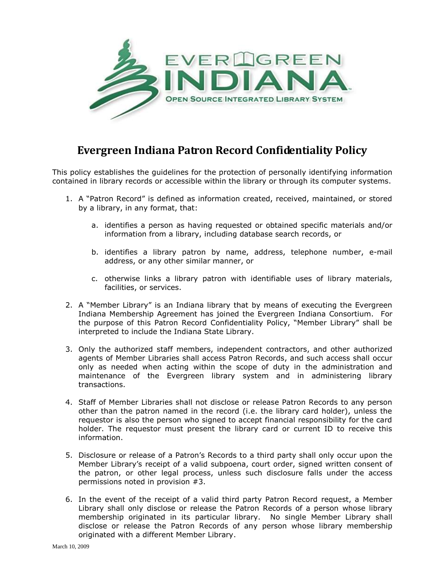

## **Evergreen Indiana Patron Record Confidentiality Policy**

This policy establishes the guidelines for the protection of personally identifying information contained in library records or accessible within the library or through its computer systems.

- 1. A "Patron Record" is defined as information created, received, maintained, or stored by a library, in any format, that:
	- a. identifies a person as having requested or obtained specific materials and/or information from a library, including database search records, or
	- b. identifies a library patron by name, address, telephone number, e-mail address, or any other similar manner, or
	- c. otherwise links a library patron with identifiable uses of library materials, facilities, or services.
- 2. A "Member Library" is an Indiana library that by means of executing the Evergreen Indiana Membership Agreement has joined the Evergreen Indiana Consortium. For the purpose of this Patron Record Confidentiality Policy, "Member Library" shall be interpreted to include the Indiana State Library.
- 3. Only the authorized staff members, independent contractors, and other authorized agents of Member Libraries shall access Patron Records, and such access shall occur only as needed when acting within the scope of duty in the administration and maintenance of the Evergreen library system and in administering library transactions.
- 4. Staff of Member Libraries shall not disclose or release Patron Records to any person other than the patron named in the record (i.e. the library card holder), unless the requestor is also the person who signed to accept financial responsibility for the card holder. The requestor must present the library card or current ID to receive this information.
- 5. Disclosure or release of a Patron's Records to a third party shall only occur upon the Member Library's receipt of a valid subpoena, court order, signed written consent of the patron, or other legal process, unless such disclosure falls under the access permissions noted in provision #3.
- 6. In the event of the receipt of a valid third party Patron Record request, a Member Library shall only disclose or release the Patron Records of a person whose library membership originated in its particular library. No single Member Library shall disclose or release the Patron Records of any person whose library membership originated with a different Member Library.